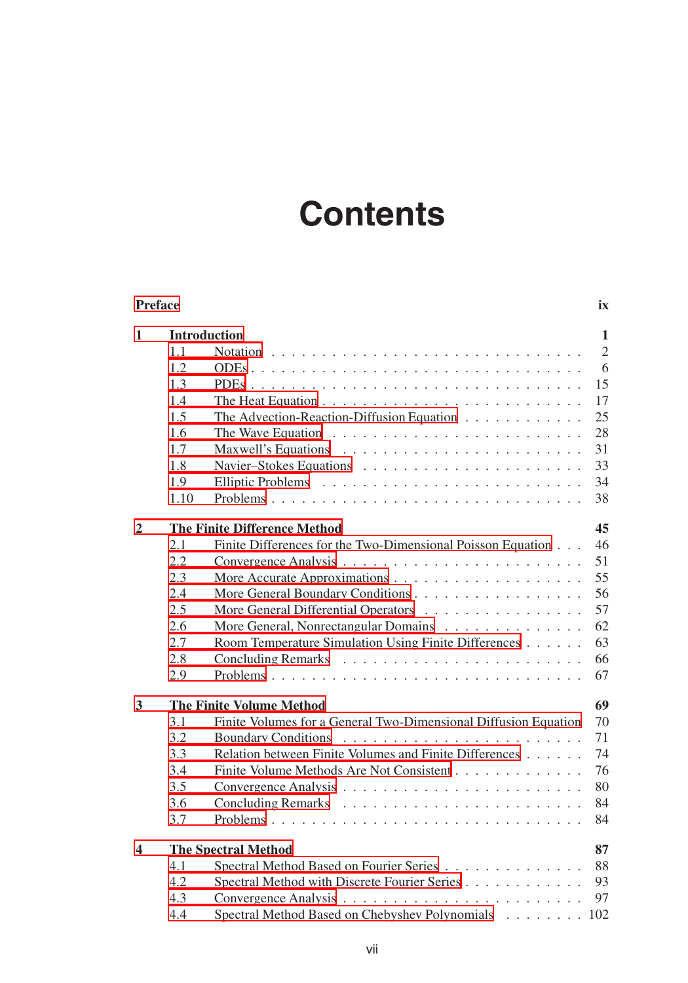## **Contents**

| <b>Preface</b><br>ix    |                     |                                                                 |                |  |
|-------------------------|---------------------|-----------------------------------------------------------------|----------------|--|
| 1                       | <b>Introduction</b> |                                                                 |                |  |
|                         | 1.1                 |                                                                 | $\overline{2}$ |  |
|                         | 1.2                 |                                                                 | 6              |  |
|                         | 1.3                 |                                                                 | 15             |  |
|                         | 1.4                 |                                                                 | 17             |  |
|                         | 1.5                 | The Advection-Reaction-Diffusion Equation                       | 25             |  |
|                         | 1.6                 |                                                                 | 28             |  |
|                         | 1.7                 |                                                                 | 31             |  |
|                         | 1.8                 |                                                                 | 33             |  |
|                         | 1.9                 |                                                                 | 34             |  |
|                         | 1.10                |                                                                 | 38             |  |
| $\overline{2}$          |                     | <b>The Finite Difference Method</b>                             | 45             |  |
|                         | 2.1                 | Finite Differences for the Two-Dimensional Poisson Equation     | 46             |  |
|                         | 2.2                 |                                                                 | 51             |  |
|                         | 2.3                 |                                                                 | 55             |  |
|                         | 2.4                 | More General Boundary Conditions                                | 56             |  |
|                         | 2.5                 | More General Differential Operators                             | 57             |  |
|                         | 2.6                 | More General, Nonrectangular Domains                            | 62             |  |
|                         | 2.7                 | Room Temperature Simulation Using Finite Differences            | 63             |  |
|                         | 2.8                 |                                                                 | 66             |  |
|                         | 2.9                 |                                                                 | 67             |  |
| $\overline{\mathbf{3}}$ |                     | <b>The Finite Volume Method</b>                                 | 69             |  |
|                         | 3.1                 | Finite Volumes for a General Two-Dimensional Diffusion Equation | 70             |  |
|                         | 3.2                 | <b>Boundary Conditions</b>                                      | 71             |  |
|                         | 3.3                 | Relation between Finite Volumes and Finite Differences          | 74             |  |
|                         | 3.4                 | Finite Volume Methods Are Not Consistent                        | 76             |  |
|                         | 3.5                 |                                                                 | 80             |  |
|                         | 3.6                 |                                                                 | 84             |  |
|                         | 3.7                 |                                                                 | 84             |  |
| 4                       |                     | <b>The Spectral Method</b>                                      | 87             |  |
|                         | 4.1                 | Spectral Method Based on Fourier Series                         | 88             |  |
|                         | 4.2                 | Spectral Method with Discrete Fourier Series                    | 93             |  |
|                         | 4.3                 |                                                                 | 97             |  |
|                         | 4.4                 | Spectral Method Based on Chebyshev Polynomials 102              |                |  |